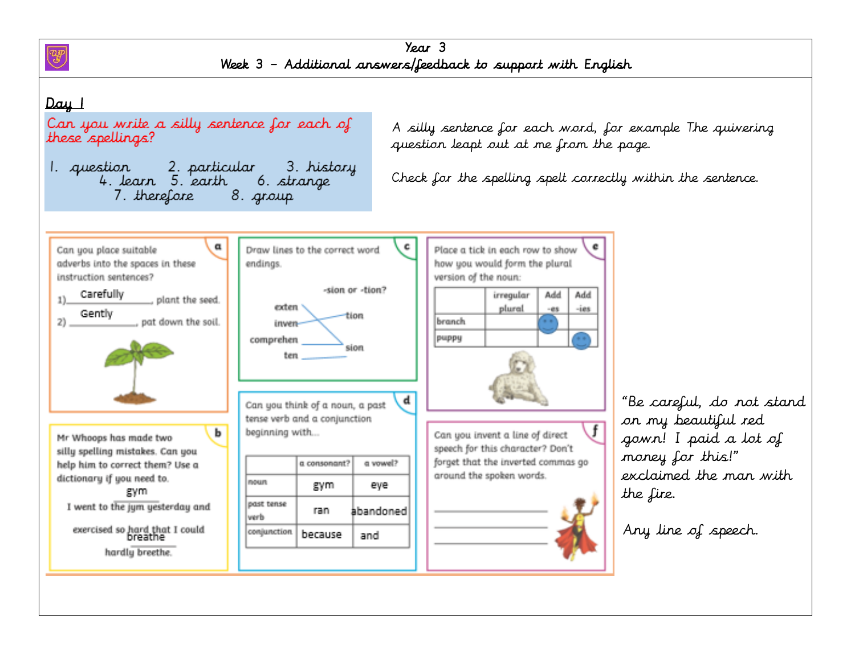

Year 3 Week 3 – Additional answers/feedback to support with English

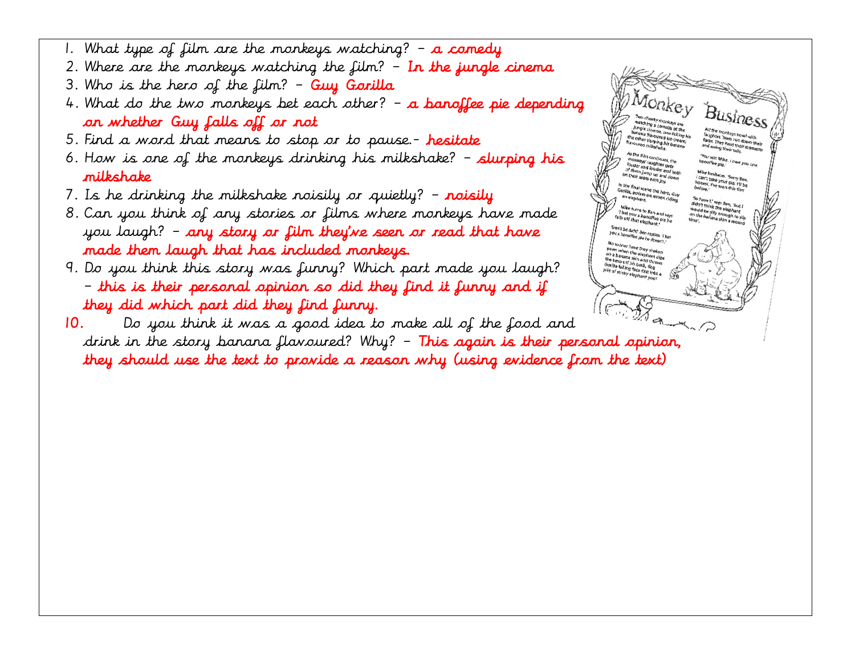- 1. What type of film are the monkeys watching?  $-$  a comedy
- 2. Where are the monkeys watching the film?  $-$  In the jungle cinema
- $3.$  Who is the hero of the film? Guy Gorilla
- 4. What do the two monkeys bet each other?  $-$  a **banoffee pie depending** on whether Guy falls off or not
- 5. Find a word that means to stop or to pause.- hesitate
- 6. How is one of the monkeys drinking his milkshake?  $-$  slurping his milkshake
- 7. Is he drinking the milkshake noisily or quietly?  $-$  noisily
- 8. Can you think of any stories or films where monkeys have made you laugh? – any story or film they've seen or read that have made them laugh that has included monkeys.
- 9. Do you think this story was funny? Which part made you laugh? – this is their personal opinion so did they find it funny and if they did which part did they find funny.



10. Do you think it was a good idea to make all of the food and drink in the story banana flavoured? Why? – This again is their personal opinion, they should use the text to provide a reason why (using evidence from the text)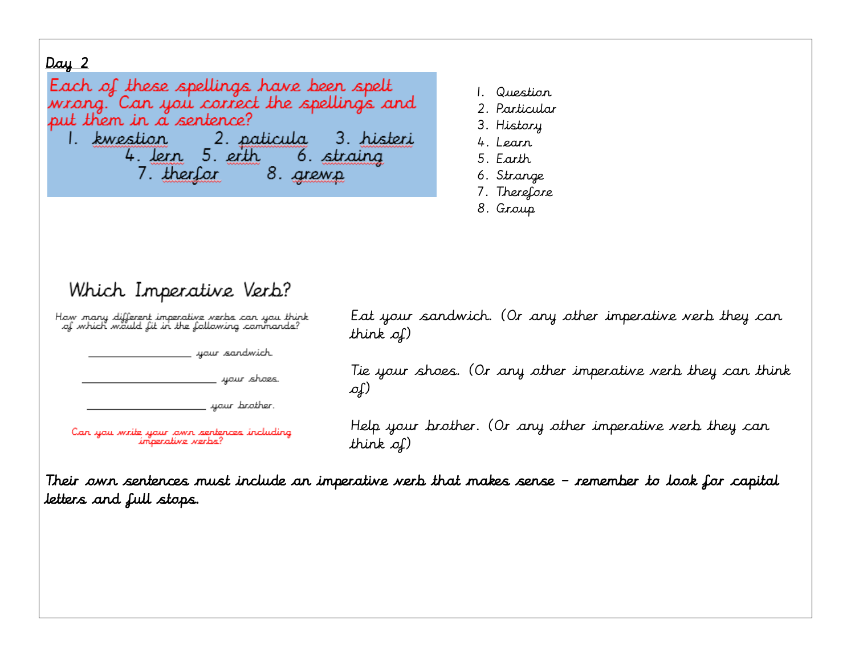Each of these spellings have been spelt wrong." Can you correct the spellings and put them in a sentence? 1. kwestion 2. paticula 3. histeri 4. Jern 5. erth 6. straing 8. grewp 7. therfor

- 1. Question
- 2. Particular
- 3. History
- 4. Learn
- 5. Earth
- 6. Strange
- 7. Therefore
- 8. Group

# Which Imperative Verb?

Haw many different imperative verbs can you think of which would fit in the following commands?

your sandwich.

yaur shaes.

your brother.

Can you write your own septences including imperative verbs?

Eat your sandwich. (Or any other imperative verb they can think of)

Tie your shoes. (Or any other imperative verb they can think of)

Help your brother. (Or any other imperative verb they can think of)

Their own sentences must include an imperative verb that makes sense – remember to look for capital letters and full stops.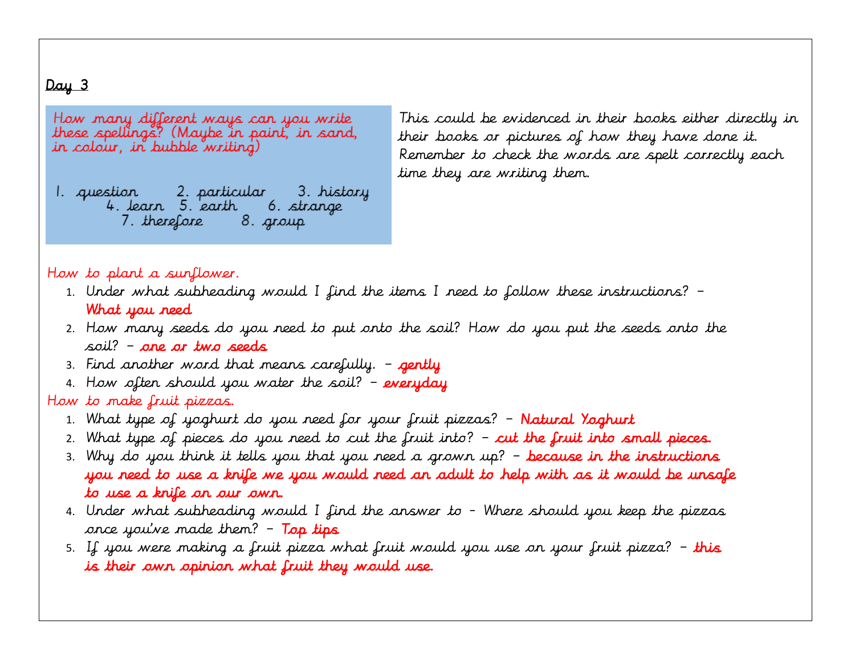How many different ways can you write these spellings? (Maybe in paint, in sand, in colour, in bubble writing)

1. question 2. particular 3. history 4. learn 5. earth 6. strange 7. therefore 8. group

This could be evidenced in their books either directly in their books or pictures of how they have done it. Remember to check the words are spelt correctly each time they are writing them.

#### $\overline{1}$ How to plant a sunflower.

- 1. Under what subheading would I find the items I need to follow these instructions? What you need
- 2. How many seeds do you need to put onto the soil? How do you put the seeds onto the soil? – one or two seeds
- 3. Find another word that means carefully.  $-$  gently
- 4. How often should you water the soil?  $-$  everyday

# How to make fruit pizzas.

- 1. What type of yoghurt do you need for your fruit pizzas? Natural Yoghurt
- 2. What type of pieces do you need to cut the fruit into?  $-$  cut the fruit into small pieces.
- 3. Why do you think it tells you that you need a grown up? because in the instructions you need to use a knife we you would need an adult to help with as it would be unsafe to use a knife on our own.
- 4. Under what subheading would I find the answer to Where should you keep the pizzas once you've made them?  $-$  Top tips
- 5. If you were making a fruit pizza what fruit would you use on your fruit pizza? this is their own opinion what fruit they would use.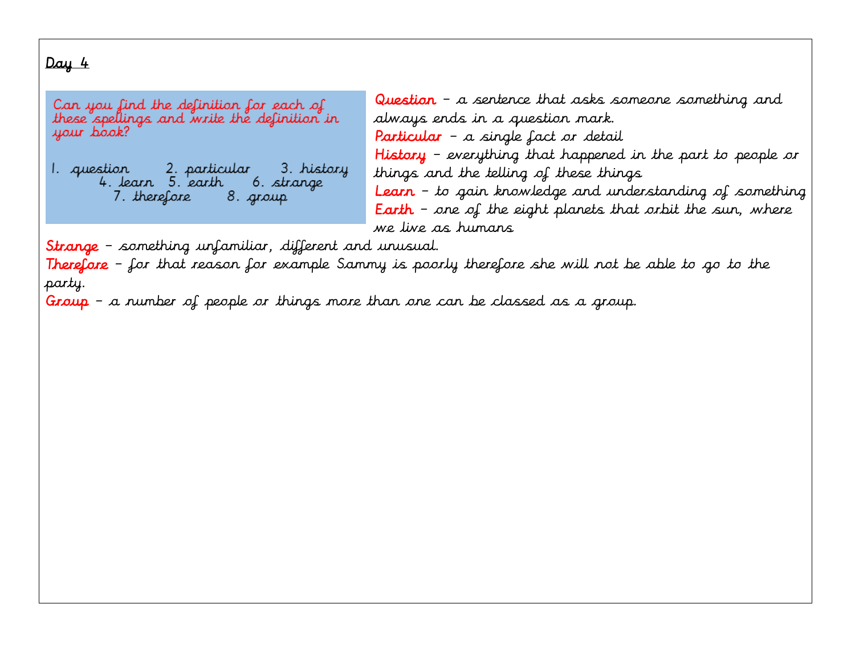Can you find the definition for each of these spellings and write the definition in your book?

6. strange 7. therefore 8. group

Question – a sentence that asks someone something and always ends in a question mark. Particular – a single fact or detail History – everything that happened in the part to people or things and the telling of these things Learn – to gain knowledge and understanding of something **Earth** – one of the eight planets that orbit the sun, where we live as humans

Strange – something unfamiliar, different and unusual.

**Therefore** – for that reason for example Sammy is poorly therefore she will not be able to go to the party.

Group – a number of people or things more than one can be classed as a group.